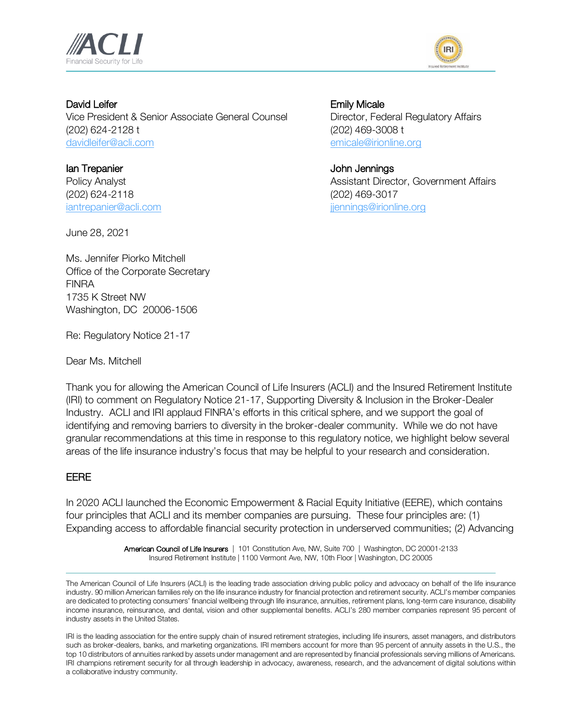



David Leifer **Emily Micale** Vice President & Senior Associate General Counsel Director, Federal Regulatory Affairs (202) 624-2128 t (202) 469-3008 t [davidleifer@acli.com](mailto:davidleifer@acli.com) [emicale@irionline.org](mailto:emicale@irionline.org)

Ian Trepanier **Ian Trepanier** School and Trepanier **John Jennings** (202) 624-2118 (202) 469-3017 [iantrepanier@acli.com](mailto:iantrepanier@acli.com) in the state of the state of the intervals of the intervals of the intervals of the intervals of the intervals of the intervals of the intervals of the intervals of the intervals of the intervals of t

Policy Analyst **Assistant Director, Government Affairs** Assistant Director, Government Affairs

June 28, 2021

Ms. Jennifer Piorko Mitchell Office of the Corporate Secretary FINRA 1735 K Street NW Washington, DC 20006-1506

Re: Regulatory Notice 21-17

Dear Ms. Mitchell

Thank you for allowing the American Council of Life Insurers (ACLI) and the Insured Retirement Institute (IRI) to comment on Regulatory Notice 21-17, Supporting Diversity & Inclusion in the Broker-Dealer Industry. ACLI and IRI applaud FINRA's efforts in this critical sphere, and we support the goal of identifying and removing barriers to diversity in the broker-dealer community. While we do not have granular recommendations at this time in response to this regulatory notice, we highlight below several areas of the life insurance industry's focus that may be helpful to your research and consideration.

## EERE

In 2020 ACLI launched the Economic Empowerment & Racial Equity Initiative (EERE), which contains four principles that ACLI and its member companies are pursuing. These four principles are: (1) Expanding access to affordable financial security protection in underserved communities; (2) Advancing

> American Council of Life Insurers | 101 Constitution Ave, NW, Suite 700 | Washington, DC 20001-2133 Insured Retirement Institute | 1100 Vermont Ave, NW, 10th Floor | Washington, DC 20005

The American Council of Life Insurers (ACLI) is the leading trade association driving public policy and advocacy on behalf of the life insurance industry. 90 million American families rely on the life insurance industry for financial protection and retirement security. ACLI's member companies are dedicated to protecting consumers' financial wellbeing through life insurance, annuities, retirement plans, long-term care insurance, disability income insurance, reinsurance, and dental, vision and other supplemental benefits. ACLI's 280 member companies represent 95 percent of industry assets in the United States.

IRI is the leading association for the entire supply chain of insured retirement strategies, including life insurers, asset managers, and distributors such as broker-dealers, banks, and marketing organizations. IRI members account for more than 95 percent of annuity assets in the U.S., the top 10 distributors of annuities ranked by assets under management and are represented by financial professionals serving millions of Americans. IRI champions retirement security for all through leadership in advocacy, awareness, research, and the advancement of digital solutions within a collaborative industry community.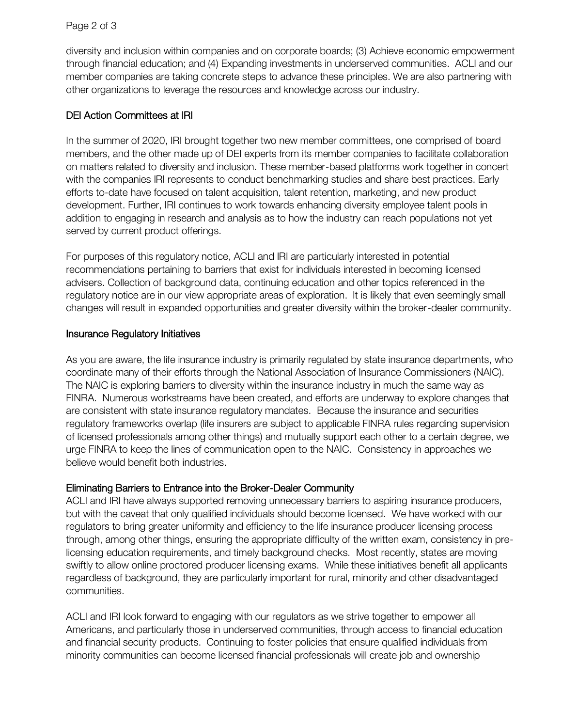diversity and inclusion within companies and on corporate boards; (3) Achieve economic empowerment through financial education; and (4) Expanding investments in underserved communities. ACLI and our member companies are taking concrete steps to advance these principles. We are also partnering with other organizations to leverage the resources and knowledge across our industry.

## DEI Action Committees at IRI

In the summer of 2020, IRI brought together two new member committees, one comprised of board members, and the other made up of DEI experts from its member companies to facilitate collaboration on matters related to diversity and inclusion. These member-based platforms work together in concert with the companies IRI represents to conduct benchmarking studies and share best practices. Early efforts to-date have focused on talent acquisition, talent retention, marketing, and new product development. Further, IRI continues to work towards enhancing diversity employee talent pools in addition to engaging in research and analysis as to how the industry can reach populations not yet served by current product offerings.

For purposes of this regulatory notice, ACLI and IRI are particularly interested in potential recommendations pertaining to barriers that exist for individuals interested in becoming licensed advisers. Collection of background data, continuing education and other topics referenced in the regulatory notice are in our view appropriate areas of exploration. It is likely that even seemingly small changes will result in expanded opportunities and greater diversity within the broker-dealer community.

## Insurance Regulatory Initiatives

As you are aware, the life insurance industry is primarily regulated by state insurance departments, who coordinate many of their efforts through the National Association of Insurance Commissioners (NAIC). The NAIC is exploring barriers to diversity within the insurance industry in much the same way as FINRA. Numerous workstreams have been created, and efforts are underway to explore changes that are consistent with state insurance regulatory mandates. Because the insurance and securities regulatory frameworks overlap (life insurers are subject to applicable FINRA rules regarding supervision of licensed professionals among other things) and mutually support each other to a certain degree, we urge FINRA to keep the lines of communication open to the NAIC. Consistency in approaches we believe would benefit both industries.

## Eliminating Barriers to Entrance into the Broker-Dealer Community

ACLI and IRI have always supported removing unnecessary barriers to aspiring insurance producers, but with the caveat that only qualified individuals should become licensed. We have worked with our regulators to bring greater uniformity and efficiency to the life insurance producer licensing process through, among other things, ensuring the appropriate difficulty of the written exam, consistency in prelicensing education requirements, and timely background checks. Most recently, states are moving swiftly to allow online proctored producer licensing exams. While these initiatives benefit all applicants regardless of background, they are particularly important for rural, minority and other disadvantaged communities.

ACLI and IRI look forward to engaging with our regulators as we strive together to empower all Americans, and particularly those in underserved communities, through access to financial education and financial security products. Continuing to foster policies that ensure qualified individuals from minority communities can become licensed financial professionals will create job and ownership